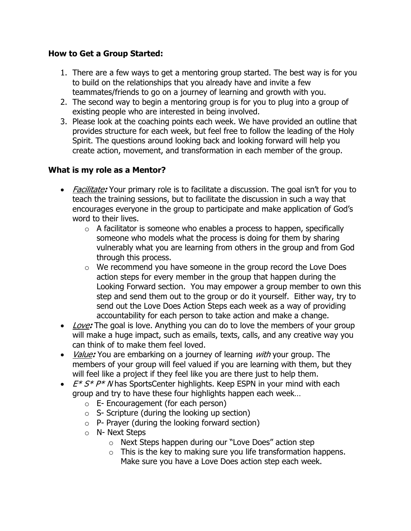## **How to Get a Group Started:**

- 1. There are a few ways to get a mentoring group started. The best way is for you to build on the relationships that you already have and invite a few teammates/friends to go on a journey of learning and growth with you.
- 2. The second way to begin a mentoring group is for you to plug into a group of existing people who are interested in being involved.
- 3. Please look at the coaching points each week. We have provided an outline that provides structure for each week, but feel free to follow the leading of the Holy Spirit. The questions around looking back and looking forward will help you create action, movement, and transformation in each member of the group.

## **What is my role as a Mentor?**

- Facilitate**:** Your primary role is to facilitate a discussion. The goal isn't for you to teach the training sessions, but to facilitate the discussion in such a way that encourages everyone in the group to participate and make application of God's word to their lives.
	- $\circ$  A facilitator is someone who enables a process to happen, specifically someone who models what the process is doing for them by sharing vulnerably what you are learning from others in the group and from God through this process.
	- o We recommend you have someone in the group record the Love Does action steps for every member in the group that happen during the Looking Forward section. You may empower a group member to own this step and send them out to the group or do it yourself. Either way, try to send out the Love Does Action Steps each week as a way of providing accountability for each person to take action and make a change.
- Love**:** The goal is love. Anything you can do to love the members of your group will make a huge impact, such as emails, texts, calls, and any creative way you can think of to make them feel loved.
- Value**:** You are embarking on a journey of learning with your group. The members of your group will feel valued if you are learning with them, but they will feel like a project if they feel like you are there just to help them.
- $E^* S^* P^* N$  has SportsCenter highlights. Keep ESPN in your mind with each group and try to have these four highlights happen each week…
	- o E- Encouragement (for each person)
	- $\circ$  S- Scripture (during the looking up section)
	- $\circ$  P- Prayer (during the looking forward section)
	- o N- Next Steps
		- o Next Steps happen during our "Love Does" action step
		- $\circ$  This is the key to making sure you life transformation happens. Make sure you have a Love Does action step each week.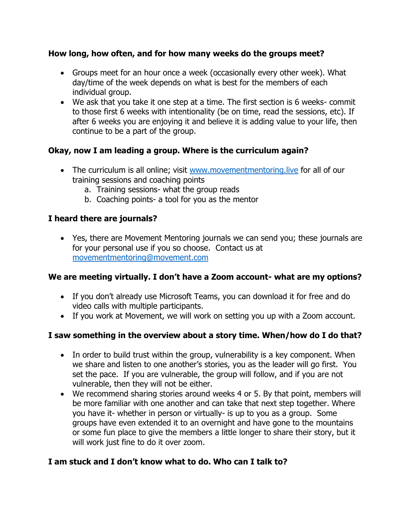#### **How long, how often, and for how many weeks do the groups meet?**

- Groups meet for an hour once a week (occasionally every other week). What day/time of the week depends on what is best for the members of each individual group.
- We ask that you take it one step at a time. The first section is 6 weeks- commit to those first 6 weeks with intentionality (be on time, read the sessions, etc). If after 6 weeks you are enjoying it and believe it is adding value to your life, then continue to be a part of the group.

## **Okay, now I am leading a group. Where is the curriculum again?**

- The curriculum is all online; visit www.movementmentoring. live for all of our training sessions and coaching points
	- a. Training sessions- what the group reads
	- b. Coaching points- a tool for you as the mentor

## **I heard there are journals?**

• Yes, there are Movement Mentoring journals we can send you; these journals are for your personal use if you so choose. Contact us at [movementmentoring@movement.com](mailto:movementmentoring@movement.com)

#### **We are meeting virtually. I don't have a Zoom account- what are my options?**

- If you don't already use Microsoft Teams, you can download it for free and do video calls with multiple participants.
- If you work at Movement, we will work on setting you up with a Zoom account.

#### **I saw something in the overview about a story time. When/how do I do that?**

- In order to build trust within the group, vulnerability is a key component. When we share and listen to one another's stories, you as the leader will go first. You set the pace. If you are vulnerable, the group will follow, and if you are not vulnerable, then they will not be either.
- We recommend sharing stories around weeks 4 or 5. By that point, members will be more familiar with one another and can take that next step together. Where you have it- whether in person or virtually- is up to you as a group. Some groups have even extended it to an overnight and have gone to the mountains or some fun place to give the members a little longer to share their story, but it will work just fine to do it over zoom.

# **I am stuck and I don't know what to do. Who can I talk to?**